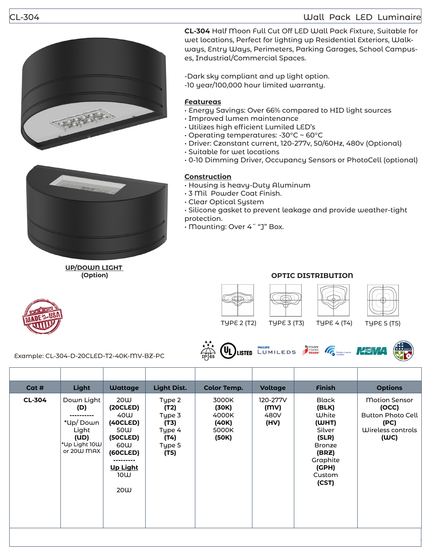## CL-304 Wall Pack LED Luminaire





**UP/DOWN LIGHT (Option)**

**CL-304** Half Moon Full Cut Off LED Wall Pack Fixture, Suitable for wet locations, Perfect for lighting up Residential Exteriors, Walkways, Entry Ways, Perimeters, Parking Garages, School Campuses, Industrial/Commercial Spaces.

-Dark sky compliant and up light option. -10 year/100,000 hour limited warranty.

## **Featureas**

- Energy Savings: Over 66% compared to HID light sources
- Improved lumen maintenance
- Utilizes high efficient Lumiled LED's
- Operating temperatures: -30°C ~ 60°C
- Driver: Czonstant current, 120-277v, 50/60Hz, 480v (Optional)
- Suitable for wet locations
- 0-10 Dimming Driver, Occupancy Sensors or PhotoCell (optional)

## **Construction**

- Housing is heavy-Duty Aluminum
- 3 Mil Powder Coat Finish.
- Clear Optical System
- Silicone gasket to prevent leakage and provide weather-tight protection.
- Mounting: Over 4˝ "J" Box.











**OPTIC DISTRIBUTION**













Example: CL-304-D-20CLED-T2-40K-MV-BZ-PC



| Cat #         | Light                                                                         | <b>Wattage</b>                                                                                            | <b>Light Dist.</b>                                                   | <b>Color Temp.</b>                                 | <b>Voltage</b>                   | <b>Finish</b>                                                                                                                | <b>Options</b>                                                                                 |
|---------------|-------------------------------------------------------------------------------|-----------------------------------------------------------------------------------------------------------|----------------------------------------------------------------------|----------------------------------------------------|----------------------------------|------------------------------------------------------------------------------------------------------------------------------|------------------------------------------------------------------------------------------------|
| <b>CL-304</b> | Down Light<br>(D)<br>*Up/Down<br>Light<br>(UD)<br>*Up Light 10W<br>or 20W MAX | 20W<br>(20CLED)<br>40W<br>(40CLED)<br>50W<br>(50CLED)<br>60W<br>(60CLED)<br><b>Up Light</b><br>10W<br>20W | Type 2<br>(T2)<br>Type 3<br>(T3)<br>Type 4<br>(T4)<br>Type 5<br>(T5) | 3000K<br>(30K)<br>4000K<br>(40K)<br>5000K<br>(50K) | 120-277V<br>(MV)<br>480V<br>(HV) | <b>Black</b><br>(BLK)<br>White<br>(WHT)<br>Silver<br>(SLR)<br><b>Bronze</b><br>(BRZ)<br>Graphite<br>(GPH)<br>Custom<br>(CST) | <b>Motion Sensor</b><br>(OCC)<br><b>Button Photo Cell</b><br>(PC)<br>Wireless controls<br>(WC) |